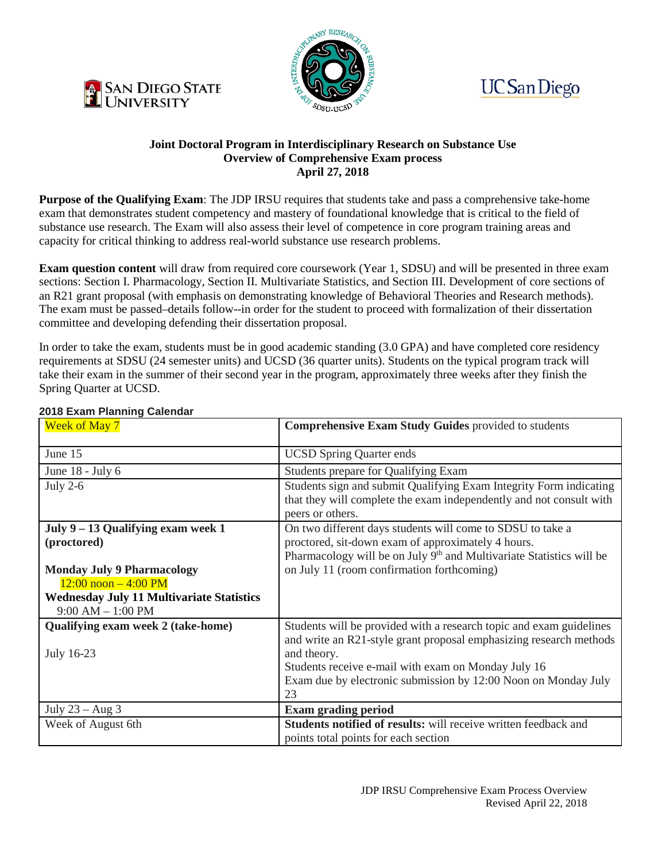





## **Joint Doctoral Program in Interdisciplinary Research on Substance Use Overview of Comprehensive Exam process April 27, 2018**

**Purpose of the Qualifying Exam:** The JDP IRSU requires that students take and pass a comprehensive take-home exam that demonstrates student competency and mastery of foundational knowledge that is critical to the field of substance use research. The Exam will also assess their level of competence in core program training areas and capacity for critical thinking to address real-world substance use research problems.

**Exam question content** will draw from required core coursework (Year 1, SDSU) and will be presented in three exam sections: Section I. Pharmacology, Section II. Multivariate Statistics, and Section III. Development of core sections of an R21 grant proposal (with emphasis on demonstrating knowledge of Behavioral Theories and Research methods). The exam must be passed–details follow--in order for the student to proceed with formalization of their dissertation committee and developing defending their dissertation proposal.

In order to take the exam, students must be in good academic standing (3.0 GPA) and have completed core residency requirements at SDSU (24 semester units) and UCSD (36 quarter units). Students on the typical program track will take their exam in the summer of their second year in the program, approximately three weeks after they finish the Spring Quarter at UCSD.

| LUTU LAUTH FIUNNING UUCHUU<br><b>Week of May 7</b> | <b>Comprehensive Exam Study Guides provided to students</b>                      |
|----------------------------------------------------|----------------------------------------------------------------------------------|
|                                                    |                                                                                  |
| June 15                                            | <b>UCSD Spring Quarter ends</b>                                                  |
| June 18 - July 6                                   | Students prepare for Qualifying Exam                                             |
| July $2-6$                                         | Students sign and submit Qualifying Exam Integrity Form indicating               |
|                                                    | that they will complete the exam independently and not consult with              |
|                                                    | peers or others.                                                                 |
| July 9 – 13 Qualifying exam week 1                 | On two different days students will come to SDSU to take a                       |
| (proctored)                                        | proctored, sit-down exam of approximately 4 hours.                               |
|                                                    | Pharmacology will be on July 9 <sup>th</sup> and Multivariate Statistics will be |
| <b>Monday July 9 Pharmacology</b>                  | on July 11 (room confirmation forthcoming)                                       |
| $12:00$ noon $-4:00$ PM                            |                                                                                  |
| <b>Wednesday July 11 Multivariate Statistics</b>   |                                                                                  |
| $9:00$ AM $-1:00$ PM                               |                                                                                  |
| Qualifying exam week 2 (take-home)                 | Students will be provided with a research topic and exam guidelines              |
|                                                    | and write an R21-style grant proposal emphasizing research methods               |
| July 16-23                                         | and theory.                                                                      |
|                                                    | Students receive e-mail with exam on Monday July 16                              |
|                                                    | Exam due by electronic submission by 12:00 Noon on Monday July                   |
|                                                    | 23                                                                               |
| July $23 - Aug 3$                                  | <b>Exam grading period</b>                                                       |
| Week of August 6th                                 | <b>Students notified of results:</b> will receive written feedback and           |
|                                                    | points total points for each section                                             |

## **2018 Exam Planning Calendar**